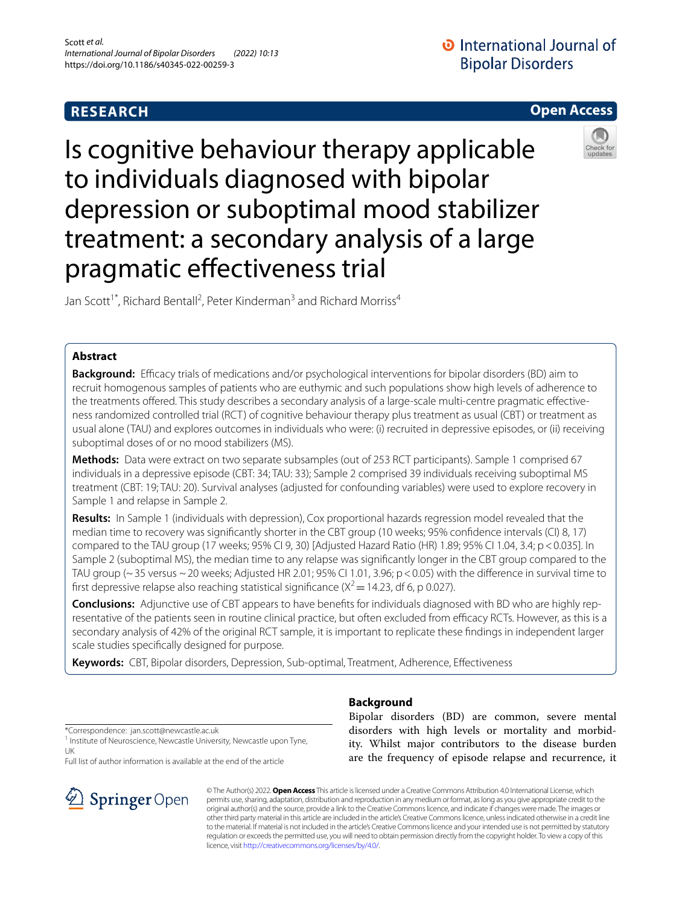# **RESEARCH**



# Is cognitive behaviour therapy applicable to individuals diagnosed with bipolar depression or suboptimal mood stabilizer treatment: a secondary analysis of a large pragmatic efectiveness trial

Jan Scott<sup>1\*</sup>, Richard Bentall<sup>2</sup>, Peter Kinderman<sup>3</sup> and Richard Morriss<sup>4</sup>

## **Abstract**

**Background:** Efficacy trials of medications and/or psychological interventions for bipolar disorders (BD) aim to recruit homogenous samples of patients who are euthymic and such populations show high levels of adherence to the treatments ofered. This study describes a secondary analysis of a large-scale multi-centre pragmatic efectiveness randomized controlled trial (RCT) of cognitive behaviour therapy plus treatment as usual (CBT) or treatment as usual alone (TAU) and explores outcomes in individuals who were: (i) recruited in depressive episodes, or (ii) receiving suboptimal doses of or no mood stabilizers (MS).

**Methods:** Data were extract on two separate subsamples (out of 253 RCT participants). Sample 1 comprised 67 individuals in a depressive episode (CBT: 34; TAU: 33); Sample 2 comprised 39 individuals receiving suboptimal MS treatment (CBT: 19; TAU: 20). Survival analyses (adjusted for confounding variables) were used to explore recovery in Sample 1 and relapse in Sample 2.

**Results:** In Sample 1 (individuals with depression), Cox proportional hazards regression model revealed that the median time to recovery was signifcantly shorter in the CBT group (10 weeks; 95% confdence intervals (CI) 8, 17) compared to the TAU group (17 weeks; 95% CI 9, 30) [Adjusted Hazard Ratio (HR) 1.89; 95% CI 1.04, 3.4; p<0.035]. In Sample 2 (suboptimal MS), the median time to any relapse was signifcantly longer in the CBT group compared to the TAU group ( $\sim$  35 versus  $\sim$  20 weeks; Adjusted HR 2.01; 95% CI 1.01, 3.96; p < 0.05) with the difference in survival time to first depressive relapse also reaching statistical significance ( $X^2$  = 14.23, df 6, p 0.027).

**Conclusions:** Adjunctive use of CBT appears to have benefts for individuals diagnosed with BD who are highly representative of the patients seen in routine clinical practice, but often excluded from efficacy RCTs. However, as this is a secondary analysis of 42% of the original RCT sample, it is important to replicate these fndings in independent larger scale studies specifcally designed for purpose.

**Keywords:** CBT, Bipolar disorders, Depression, Sub-optimal, Treatment, Adherence, Efectiveness

\*Correspondence: jan.scott@newcastle.ac.uk

<sup>1</sup> Institute of Neuroscience, Newcastle University, Newcastle upon Tyne, UK

Full list of author information is available at the end of the article



# **Background**

Bipolar disorders (BD) are common, severe mental disorders with high levels or mortality and morbidity. Whilst major contributors to the disease burden are the frequency of episode relapse and recurrence, it

© The Author(s) 2022. **Open Access** This article is licensed under a Creative Commons Attribution 4.0 International License, which permits use, sharing, adaptation, distribution and reproduction in any medium or format, as long as you give appropriate credit to the original author(s) and the source, provide a link to the Creative Commons licence, and indicate if changes were made. The images or other third party material in this article are included in the article's Creative Commons licence, unless indicated otherwise in a credit line to the material. If material is not included in the article's Creative Commons licence and your intended use is not permitted by statutory regulation or exceeds the permitted use, you will need to obtain permission directly from the copyright holder. To view a copy of this licence, visit [http://creativecommons.org/licenses/by/4.0/.](http://creativecommons.org/licenses/by/4.0/)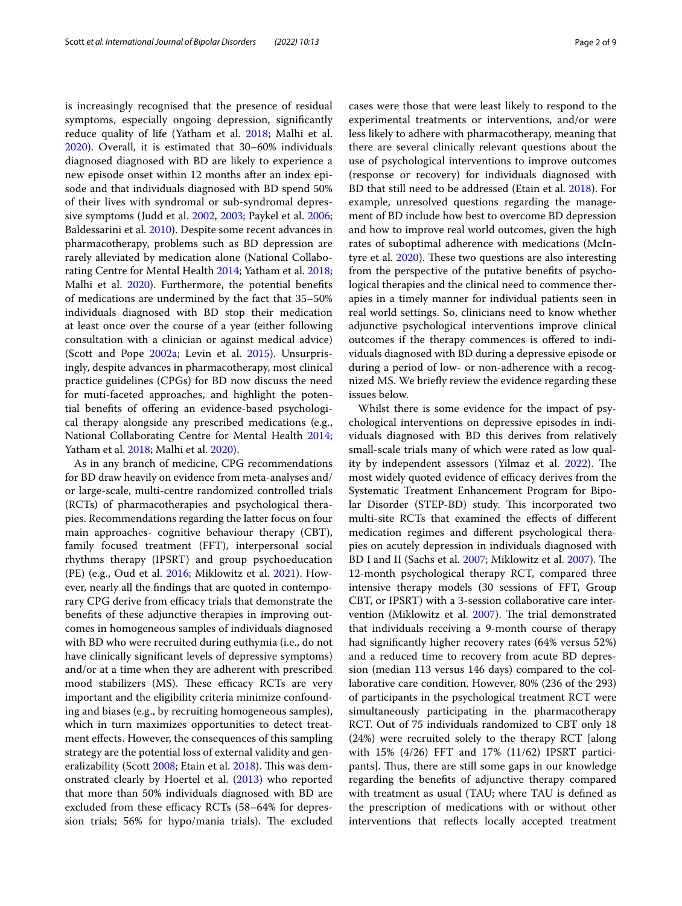is increasingly recognised that the presence of residual symptoms, especially ongoing depression, signifcantly reduce quality of life (Yatham et al. [2018](#page-8-0); Malhi et al. [2020](#page-7-0)). Overall, it is estimated that 30–60% individuals diagnosed diagnosed with BD are likely to experience a new episode onset within 12 months after an index episode and that individuals diagnosed with BD spend 50% of their lives with syndromal or sub-syndromal depressive symptoms (Judd et al. [2002](#page-7-1), [2003](#page-7-2); Paykel et al. [2006](#page-7-3); Baldessarini et al. [2010\)](#page-7-4). Despite some recent advances in pharmacotherapy, problems such as BD depression are rarely alleviated by medication alone (National Collaborating Centre for Mental Health [2014;](#page-7-5) Yatham et al. [2018](#page-8-0); Malhi et al. [2020\)](#page-7-0). Furthermore, the potential benefits of medications are undermined by the fact that 35–50% individuals diagnosed with BD stop their medication at least once over the course of a year (either following consultation with a clinician or against medical advice) (Scott and Pope [2002a;](#page-7-6) Levin et al. [2015\)](#page-7-7). Unsurprisingly, despite advances in pharmacotherapy, most clinical practice guidelines (CPGs) for BD now discuss the need for muti-faceted approaches, and highlight the potential benefts of ofering an evidence-based psychological therapy alongside any prescribed medications (e.g., National Collaborating Centre for Mental Health [2014](#page-7-5); Yatham et al. [2018](#page-8-0); Malhi et al. [2020\)](#page-7-0).

As in any branch of medicine, CPG recommendations for BD draw heavily on evidence from meta-analyses and/ or large-scale, multi-centre randomized controlled trials (RCTs) of pharmacotherapies and psychological therapies. Recommendations regarding the latter focus on four main approaches- cognitive behaviour therapy (CBT), family focused treatment (FFT), interpersonal social rhythms therapy (IPSRT) and group psychoeducation (PE) (e.g., Oud et al. [2016;](#page-7-8) Miklowitz et al. [2021\)](#page-7-9). However, nearly all the fndings that are quoted in contemporary CPG derive from efficacy trials that demonstrate the benefts of these adjunctive therapies in improving outcomes in homogeneous samples of individuals diagnosed with BD who were recruited during euthymia (i.e., do not have clinically signifcant levels of depressive symptoms) and/or at a time when they are adherent with prescribed mood stabilizers (MS). These efficacy RCTs are very important and the eligibility criteria minimize confounding and biases (e.g., by recruiting homogeneous samples), which in turn maximizes opportunities to detect treatment efects. However, the consequences of this sampling strategy are the potential loss of external validity and gen-eralizability (Scott [2008](#page-7-10); Etain et al. [2018](#page-7-11)). This was demonstrated clearly by Hoertel et al. ([2013](#page-7-12)) who reported that more than 50% individuals diagnosed with BD are excluded from these efficacy RCTs  $(58-64\%)$  for depression trials; 56% for hypo/mania trials). The excluded cases were those that were least likely to respond to the experimental treatments or interventions, and/or were less likely to adhere with pharmacotherapy, meaning that there are several clinically relevant questions about the use of psychological interventions to improve outcomes (response or recovery) for individuals diagnosed with BD that still need to be addressed (Etain et al. [2018\)](#page-7-11). For example, unresolved questions regarding the management of BD include how best to overcome BD depression and how to improve real world outcomes, given the high rates of suboptimal adherence with medications (McIn-tyre et al. [2020\)](#page-7-13). These two questions are also interesting from the perspective of the putative benefts of psychological therapies and the clinical need to commence therapies in a timely manner for individual patients seen in real world settings. So, clinicians need to know whether adjunctive psychological interventions improve clinical outcomes if the therapy commences is ofered to individuals diagnosed with BD during a depressive episode or during a period of low- or non-adherence with a recognized MS. We briefy review the evidence regarding these issues below.

Whilst there is some evidence for the impact of psychological interventions on depressive episodes in individuals diagnosed with BD this derives from relatively small-scale trials many of which were rated as low quality by independent assessors (Yilmaz et al.  $2022$ ). The most widely quoted evidence of efficacy derives from the Systematic Treatment Enhancement Program for Bipolar Disorder (STEP-BD) study. This incorporated two multi-site RCTs that examined the efects of diferent medication regimes and diferent psychological therapies on acutely depression in individuals diagnosed with BD I and II (Sachs et al. [2007](#page-7-15); Miklowitz et al. 2007). The 12-month psychological therapy RCT, compared three intensive therapy models (30 sessions of FFT, Group CBT, or IPSRT) with a 3-session collaborative care inter-vention (Miklowitz et al. [2007\)](#page-7-15). The trial demonstrated that individuals receiving a 9-month course of therapy had signifcantly higher recovery rates (64% versus 52%) and a reduced time to recovery from acute BD depression (median 113 versus 146 days) compared to the collaborative care condition. However, 80% (236 of the 293) of participants in the psychological treatment RCT were simultaneously participating in the pharmacotherapy RCT. Out of 75 individuals randomized to CBT only 18 (24%) were recruited solely to the therapy RCT [along with 15% (4/26) FFT and 17% (11/62) IPSRT participants]. Thus, there are still some gaps in our knowledge regarding the benefts of adjunctive therapy compared with treatment as usual (TAU; where TAU is defned as the prescription of medications with or without other interventions that refects locally accepted treatment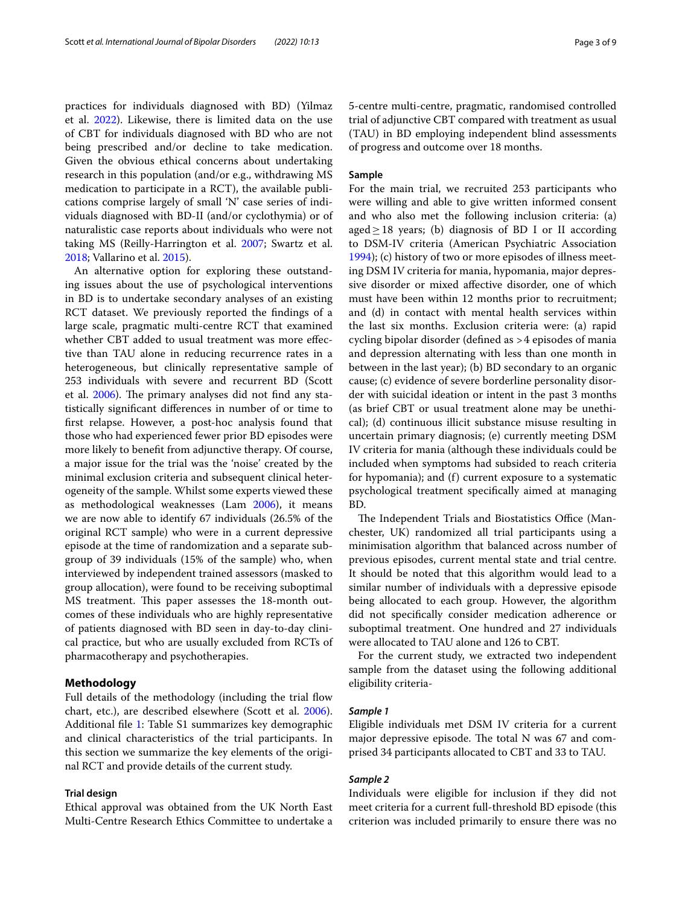practices for individuals diagnosed with BD) (Yilmaz et al. [2022\)](#page-8-1). Likewise, there is limited data on the use of CBT for individuals diagnosed with BD who are not being prescribed and/or decline to take medication. Given the obvious ethical concerns about undertaking research in this population (and/or e.g., withdrawing MS medication to participate in a RCT), the available publications comprise largely of small 'N' case series of individuals diagnosed with BD-II (and/or cyclothymia) or of naturalistic case reports about individuals who were not taking MS (Reilly-Harrington et al. [2007;](#page-7-16) Swartz et al. [2018](#page-7-17); Vallarino et al. [2015\)](#page-7-18).

An alternative option for exploring these outstanding issues about the use of psychological interventions in BD is to undertake secondary analyses of an existing RCT dataset. We previously reported the fndings of a large scale, pragmatic multi-centre RCT that examined whether CBT added to usual treatment was more efective than TAU alone in reducing recurrence rates in a heterogeneous, but clinically representative sample of 253 individuals with severe and recurrent BD (Scott et al. [2006\)](#page-7-19). The primary analyses did not find any statistically signifcant diferences in number of or time to frst relapse. However, a post-hoc analysis found that those who had experienced fewer prior BD episodes were more likely to beneft from adjunctive therapy. Of course, a major issue for the trial was the 'noise' created by the minimal exclusion criteria and subsequent clinical heterogeneity of the sample. Whilst some experts viewed these as methodological weaknesses (Lam [2006\)](#page-7-20), it means we are now able to identify 67 individuals (26.5% of the original RCT sample) who were in a current depressive episode at the time of randomization and a separate subgroup of 39 individuals (15% of the sample) who, when interviewed by independent trained assessors (masked to group allocation), were found to be receiving suboptimal MS treatment. This paper assesses the 18-month outcomes of these individuals who are highly representative of patients diagnosed with BD seen in day-to-day clinical practice, but who are usually excluded from RCTs of pharmacotherapy and psychotherapies.

## **Methodology**

Full details of the methodology (including the trial flow chart, etc.), are described elsewhere (Scott et al. [2006](#page-7-19)). Additional fle [1:](#page-6-0) Table S1 summarizes key demographic and clinical characteristics of the trial participants. In this section we summarize the key elements of the original RCT and provide details of the current study.

## **Trial design**

Ethical approval was obtained from the UK North East Multi-Centre Research Ethics Committee to undertake a

5-centre multi-centre, pragmatic, randomised controlled trial of adjunctive CBT compared with treatment as usual (TAU) in BD employing independent blind assessments

of progress and outcome over 18 months.

## **Sample**

For the main trial, we recruited 253 participants who were willing and able to give written informed consent and who also met the following inclusion criteria: (a) aged≥18 years; (b) diagnosis of BD I or II according to DSM-IV criteria (American Psychiatric Association [1994](#page-7-21)); (c) history of two or more episodes of illness meeting DSM IV criteria for mania, hypomania, major depressive disorder or mixed afective disorder, one of which must have been within 12 months prior to recruitment; and (d) in contact with mental health services within the last six months. Exclusion criteria were: (a) rapid cycling bipolar disorder (defned as >4 episodes of mania and depression alternating with less than one month in between in the last year); (b) BD secondary to an organic cause; (c) evidence of severe borderline personality disorder with suicidal ideation or intent in the past 3 months (as brief CBT or usual treatment alone may be unethical); (d) continuous illicit substance misuse resulting in uncertain primary diagnosis; (e) currently meeting DSM IV criteria for mania (although these individuals could be included when symptoms had subsided to reach criteria for hypomania); and (f) current exposure to a systematic psychological treatment specifcally aimed at managing BD.

The Independent Trials and Biostatistics Office (Manchester, UK) randomized all trial participants using a minimisation algorithm that balanced across number of previous episodes, current mental state and trial centre. It should be noted that this algorithm would lead to a similar number of individuals with a depressive episode being allocated to each group. However, the algorithm did not specifcally consider medication adherence or suboptimal treatment. One hundred and 27 individuals were allocated to TAU alone and 126 to CBT.

For the current study, we extracted two independent sample from the dataset using the following additional eligibility criteria-

## *Sample 1*

Eligible individuals met DSM IV criteria for a current major depressive episode. The total  $N$  was 67 and comprised 34 participants allocated to CBT and 33 to TAU.

## *Sample 2*

Individuals were eligible for inclusion if they did not meet criteria for a current full-threshold BD episode (this criterion was included primarily to ensure there was no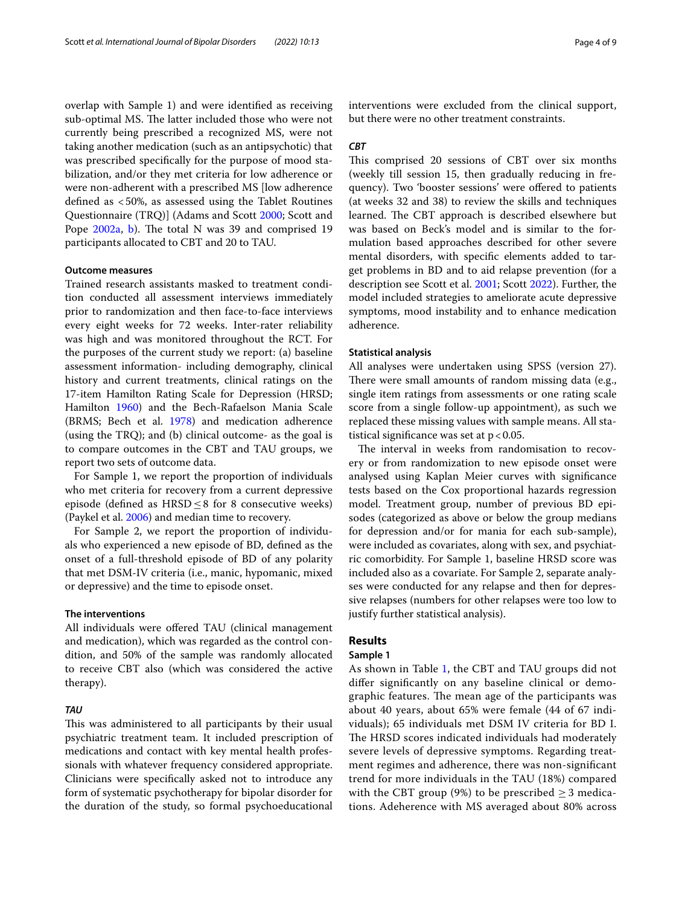overlap with Sample 1) and were identifed as receiving sub-optimal MS. The latter included those who were not currently being prescribed a recognized MS, were not taking another medication (such as an antipsychotic) that was prescribed specifcally for the purpose of mood stabilization, and/or they met criteria for low adherence or were non-adherent with a prescribed MS [low adherence defned as <50%, as assessed using the Tablet Routines Questionnaire (TRQ)] (Adams and Scott [2000;](#page-7-22) Scott and Pope [2002a,](#page-7-6) [b](#page-7-23)). The total N was 39 and comprised 19 participants allocated to CBT and 20 to TAU.

## **Outcome measures**

Trained research assistants masked to treatment condition conducted all assessment interviews immediately prior to randomization and then face-to-face interviews every eight weeks for 72 weeks. Inter-rater reliability was high and was monitored throughout the RCT. For the purposes of the current study we report: (a) baseline assessment information- including demography, clinical history and current treatments, clinical ratings on the 17-item Hamilton Rating Scale for Depression (HRSD; Hamilton [1960\)](#page-7-24) and the Bech-Rafaelson Mania Scale (BRMS; Bech et al. [1978\)](#page-7-25) and medication adherence (using the TRQ); and (b) clinical outcome- as the goal is to compare outcomes in the CBT and TAU groups, we report two sets of outcome data.

For Sample 1, we report the proportion of individuals who met criteria for recovery from a current depressive episode (defined as  $HRSD \leq 8$  for 8 consecutive weeks) (Paykel et al. [2006\)](#page-7-3) and median time to recovery.

For Sample 2, we report the proportion of individuals who experienced a new episode of BD, defned as the onset of a full-threshold episode of BD of any polarity that met DSM-IV criteria (i.e., manic, hypomanic, mixed or depressive) and the time to episode onset.

## **The interventions**

All individuals were offered TAU (clinical management and medication), which was regarded as the control condition, and 50% of the sample was randomly allocated to receive CBT also (which was considered the active therapy).

## *TAU*

This was administered to all participants by their usual psychiatric treatment team. It included prescription of medications and contact with key mental health professionals with whatever frequency considered appropriate. Clinicians were specifcally asked not to introduce any form of systematic psychotherapy for bipolar disorder for the duration of the study, so formal psychoeducational interventions were excluded from the clinical support, but there were no other treatment constraints.

## *CBT*

This comprised 20 sessions of CBT over six months (weekly till session 15, then gradually reducing in frequency). Two 'booster sessions' were ofered to patients (at weeks 32 and 38) to review the skills and techniques learned. The CBT approach is described elsewhere but was based on Beck's model and is similar to the formulation based approaches described for other severe mental disorders, with specifc elements added to target problems in BD and to aid relapse prevention (for a description see Scott et al. [2001;](#page-7-26) Scott [2022\)](#page-7-27). Further, the model included strategies to ameliorate acute depressive symptoms, mood instability and to enhance medication adherence.

#### **Statistical analysis**

All analyses were undertaken using SPSS (version 27). There were small amounts of random missing data (e.g., single item ratings from assessments or one rating scale score from a single follow-up appointment), as such we replaced these missing values with sample means. All statistical significance was set at  $p < 0.05$ .

The interval in weeks from randomisation to recovery or from randomization to new episode onset were analysed using Kaplan Meier curves with signifcance tests based on the Cox proportional hazards regression model. Treatment group, number of previous BD episodes (categorized as above or below the group medians for depression and/or for mania for each sub-sample), were included as covariates, along with sex, and psychiatric comorbidity. For Sample 1, baseline HRSD score was included also as a covariate. For Sample 2, separate analyses were conducted for any relapse and then for depressive relapses (numbers for other relapses were too low to justify further statistical analysis).

## **Results**

## **Sample 1**

As shown in Table [1,](#page-4-0) the CBT and TAU groups did not difer signifcantly on any baseline clinical or demographic features. The mean age of the participants was about 40 years, about 65% were female (44 of 67 individuals); 65 individuals met DSM IV criteria for BD I. The HRSD scores indicated individuals had moderately severe levels of depressive symptoms. Regarding treatment regimes and adherence, there was non-signifcant trend for more individuals in the TAU (18%) compared with the CBT group (9%) to be prescribed  $\geq$  3 medications. Adeherence with MS averaged about 80% across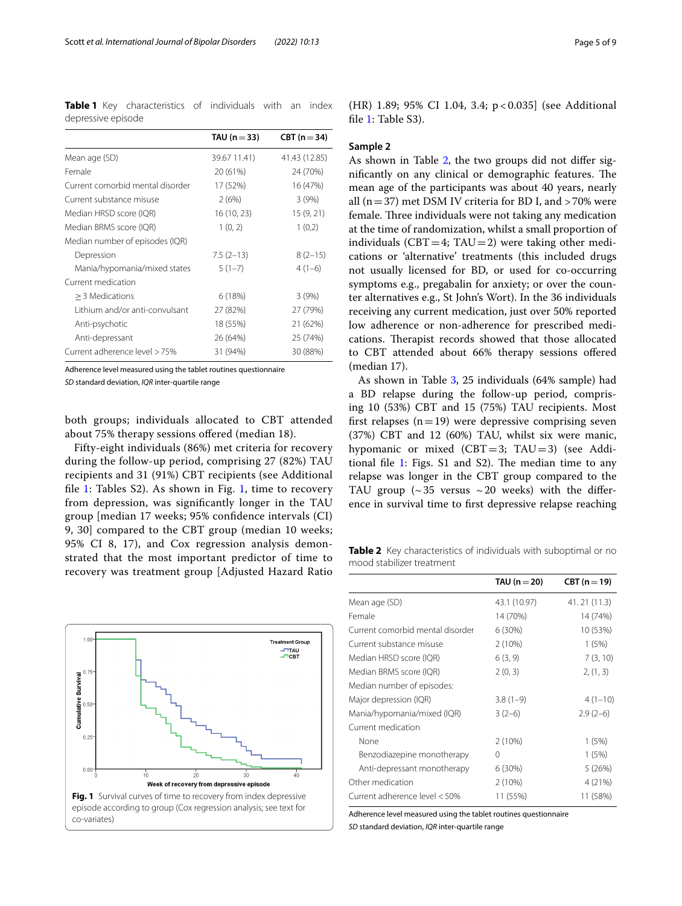<span id="page-4-0"></span>**Table 1** Key characteristics of individuals with an index depressive episode

|                                  | TAU ( $n = 33$ ) | $CBT (n=34)$  |
|----------------------------------|------------------|---------------|
| Mean age (SD)                    | 39.67 11.41)     | 41.43 (12.85) |
| Female                           | 20 (61%)         | 24 (70%)      |
| Current comorbid mental disorder | 17 (52%)         | 16 (47%)      |
| Current substance misuse         | 2(6%)            | 3(9%)         |
| Median HRSD score (IQR)          | 16 (10, 23)      | 15 (9, 21)    |
| Median BRMS score (IQR)          | 1(0, 2)          | 1(0,2)        |
| Median number of episodes (IQR)  |                  |               |
| Depression                       | $7.5(2-13)$      | $8(2-15)$     |
| Mania/hypomania/mixed states     | $5(1-7)$         | $4(1-6)$      |
| Current medication               |                  |               |
| > 3 Medications                  | 6(18%)           | 3(9%)         |
| I ithium and/or anti-convulsant  | 27 (82%)         | 27 (79%)      |
| Anti-psychotic                   | 18 (55%)         | 21 (62%)      |
| Anti-depressant                  | 26 (64%)         | 25 (74%)      |
| Current adherence level > 75%    | 31 (94%)         | 30 (88%)      |

Adherence level measured using the tablet routines questionnaire

*SD* standard deviation, *IQR* inter-quartile range

both groups; individuals allocated to CBT attended about 75% therapy sessions ofered (median 18).

Fifty-eight individuals (86%) met criteria for recovery during the follow-up period, comprising 27 (82%) TAU recipients and 31 (91%) CBT recipients (see Additional fle [1:](#page-6-0) Tables S2). As shown in Fig. [1](#page-4-1), time to recovery from depression, was signifcantly longer in the TAU group [median 17 weeks; 95% confdence intervals (CI) 9, 30] compared to the CBT group (median 10 weeks; 95% CI 8, 17), and Cox regression analysis demonstrated that the most important predictor of time to recovery was treatment group [Adjusted Hazard Ratio

<span id="page-4-1"></span>

(HR) 1.89; 95% CI 1.04, 3.4; p < 0.035] (see Additional file [1](#page-6-0): Table S3).

## **Sample 2**

As shown in Table [2,](#page-4-2) the two groups did not difer significantly on any clinical or demographic features. The mean age of the participants was about 40 years, nearly all ( $n=37$ ) met DSM IV criteria for BD I, and  $>70\%$  were female. Three individuals were not taking any medication at the time of randomization, whilst a small proportion of individuals ( $CBT=4$ ; TAU=2) were taking other medications or 'alternative' treatments (this included drugs not usually licensed for BD, or used for co-occurring symptoms e.g., pregabalin for anxiety; or over the counter alternatives e.g., St John's Wort). In the 36 individuals receiving any current medication, just over 50% reported low adherence or non-adherence for prescribed medications. Therapist records showed that those allocated to CBT attended about 66% therapy sessions ofered (median 17).

As shown in Table [3,](#page-5-0) 25 individuals (64% sample) had a BD relapse during the follow-up period, comprising 10 (53%) CBT and 15 (75%) TAU recipients. Most first relapses  $(n=19)$  were depressive comprising seven (37%) CBT and 12 (60%) TAU, whilst six were manic, hypomanic or mixed  $(CBT=3; TAU=3)$  (see Additional file  $1$ : Figs. S1 and S2). The median time to any relapse was longer in the CBT group compared to the TAU group  $({\sim}35$  versus  ${\sim}20$  weeks) with the difference in survival time to frst depressive relapse reaching

<span id="page-4-2"></span>**Table 2** Key characteristics of individuals with suboptimal or no mood stabilizer treatment

|                                  | TAU ( $n = 20$ ) | CBT $(n=19)$ |
|----------------------------------|------------------|--------------|
| Mean age (SD)                    | 43.1 (10.97)     | 41.21 (11.3) |
| Female                           | 14 (70%)         | 14 (74%)     |
| Current comorbid mental disorder | 6 (30%)          | 10 (53%)     |
| Current substance misuse         | 2(10%)           | 1(5%)        |
| Median HRSD score (IQR)          | 6(3, 9)          | 7(3, 10)     |
| Median BRMS score (IQR)          | 2(0, 3)          | 2, (1, 3)    |
| Median number of episodes:       |                  |              |
| Major depression (IQR)           | $3.8(1-9)$       | $4(1-10)$    |
| Mania/hypomania/mixed (IQR)      | $3(2-6)$         | $2.9(2-6)$   |
| Current medication               |                  |              |
| None                             | 2(10%)           | 1(5%)        |
| Benzodiazepine monotherapy       | 0                | 1(5%)        |
| Anti-depressant monotherapy      | 6 (30%)          | 5(26%)       |
| Other medication                 | 2(10%)           | 4 (21%)      |
| Current adherence level < 50%    | 11 (55%)         | 11 (58%)     |

Adherence level measured using the tablet routines questionnaire *SD* standard deviation, *IQR* inter-quartile range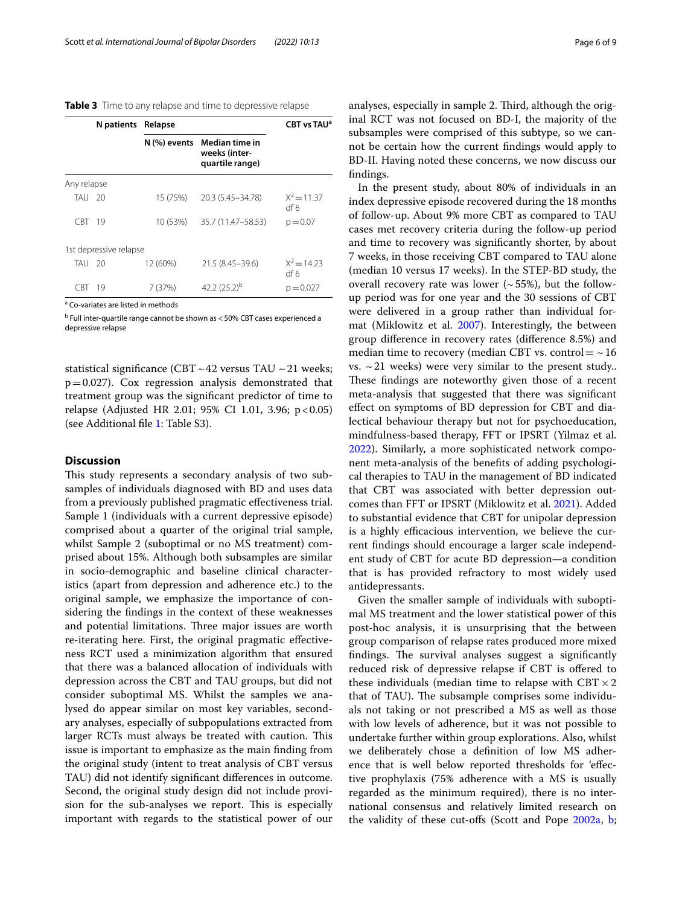<span id="page-5-0"></span>**Table 3** Time to any relapse and time to depressive relapse

| N patients Relapse |                        |              |                                                    | CBT vs TAU <sup>a</sup> |
|--------------------|------------------------|--------------|----------------------------------------------------|-------------------------|
|                    |                        | N (%) events | Median time in<br>weeks (inter-<br>quartile range) |                         |
| Any relapse        |                        |              |                                                    |                         |
| TAU 20             |                        | 15 (75%)     | 20.3 (5.45 - 34.78)                                | $X^2 = 11.37$<br>df 6   |
| CBT.               | 19                     | 10 (53%)     | 35.7 (11.47–58.53)                                 | $p = 0.07$              |
|                    | 1st depressive relapse |              |                                                    |                         |
| TAU 20             |                        | 12 (60%)     | 21.5 (8.45-39.6)                                   | $X^2 = 1423$<br>df 6    |
| CRT.               | 19                     | 7(37%)       | 42.2 $(25.2)^{b}$                                  | $p = 0.027$             |

<sup>a</sup> Co-variates are listed in methods

<sup>b</sup> Full inter-quartile range cannot be shown as < 50% CBT cases experienced a depressive relapse

statistical significance (CBT ~ 42 versus TAU ~ 21 weeks;  $p=0.027$ ). Cox regression analysis demonstrated that treatment group was the signifcant predictor of time to relapse (Adjusted HR 2.01; 95% CI 1.01, 3.96; p<0.05) (see Additional fle [1:](#page-6-0) Table S3).

## **Discussion**

This study represents a secondary analysis of two subsamples of individuals diagnosed with BD and uses data from a previously published pragmatic efectiveness trial. Sample 1 (individuals with a current depressive episode) comprised about a quarter of the original trial sample, whilst Sample 2 (suboptimal or no MS treatment) comprised about 15%. Although both subsamples are similar in socio-demographic and baseline clinical characteristics (apart from depression and adherence etc.) to the original sample, we emphasize the importance of considering the fndings in the context of these weaknesses and potential limitations. Three major issues are worth re-iterating here. First, the original pragmatic efectiveness RCT used a minimization algorithm that ensured that there was a balanced allocation of individuals with depression across the CBT and TAU groups, but did not consider suboptimal MS. Whilst the samples we analysed do appear similar on most key variables, secondary analyses, especially of subpopulations extracted from larger RCTs must always be treated with caution. This issue is important to emphasize as the main fnding from the original study (intent to treat analysis of CBT versus TAU) did not identify signifcant diferences in outcome. Second, the original study design did not include provision for the sub-analyses we report. This is especially important with regards to the statistical power of our analyses, especially in sample 2. Third, although the original RCT was not focused on BD-I, the majority of the subsamples were comprised of this subtype, so we cannot be certain how the current fndings would apply to BD-II. Having noted these concerns, we now discuss our fndings.

In the present study, about 80% of individuals in an index depressive episode recovered during the 18 months of follow-up. About 9% more CBT as compared to TAU cases met recovery criteria during the follow-up period and time to recovery was signifcantly shorter, by about 7 weeks, in those receiving CBT compared to TAU alone (median 10 versus 17 weeks). In the STEP-BD study, the overall recovery rate was lower  $($   $\sim$  55%), but the followup period was for one year and the 30 sessions of CBT were delivered in a group rather than individual format (Miklowitz et al. [2007](#page-7-15)). Interestingly, the between group diference in recovery rates (diference 8.5%) and median time to recovery (median CBT vs. control  $=$   $\sim$  16 vs.  $\sim$  21 weeks) were very similar to the present study.. These findings are noteworthy given those of a recent meta-analysis that suggested that there was signifcant efect on symptoms of BD depression for CBT and dialectical behaviour therapy but not for psychoeducation, mindfulness-based therapy, FFT or IPSRT (Yilmaz et al. [2022](#page-8-1)). Similarly, a more sophisticated network component meta-analysis of the benefts of adding psychological therapies to TAU in the management of BD indicated that CBT was associated with better depression outcomes than FFT or IPSRT (Miklowitz et al[. 2021](#page-7-28)). Added to substantial evidence that CBT for unipolar depression is a highly efficacious intervention, we believe the current fndings should encourage a larger scale independent study of CBT for acute BD depression—a condition that is has provided refractory to most widely used antidepressants.

Given the smaller sample of individuals with suboptimal MS treatment and the lower statistical power of this post-hoc analysis, it is unsurprising that the between group comparison of relapse rates produced more mixed findings. The survival analyses suggest a significantly reduced risk of depressive relapse if CBT is ofered to these individuals (median time to relapse with  $CBT \times 2$ that of TAU). The subsample comprises some individuals not taking or not prescribed a MS as well as those with low levels of adherence, but it was not possible to undertake further within group explorations. Also, whilst we deliberately chose a defnition of low MS adherence that is well below reported thresholds for 'efective prophylaxis (75% adherence with a MS is usually regarded as the minimum required), there is no international consensus and relatively limited research on the validity of these cut-ofs (Scott and Pope [2002a,](#page-7-6) [b](#page-7-23);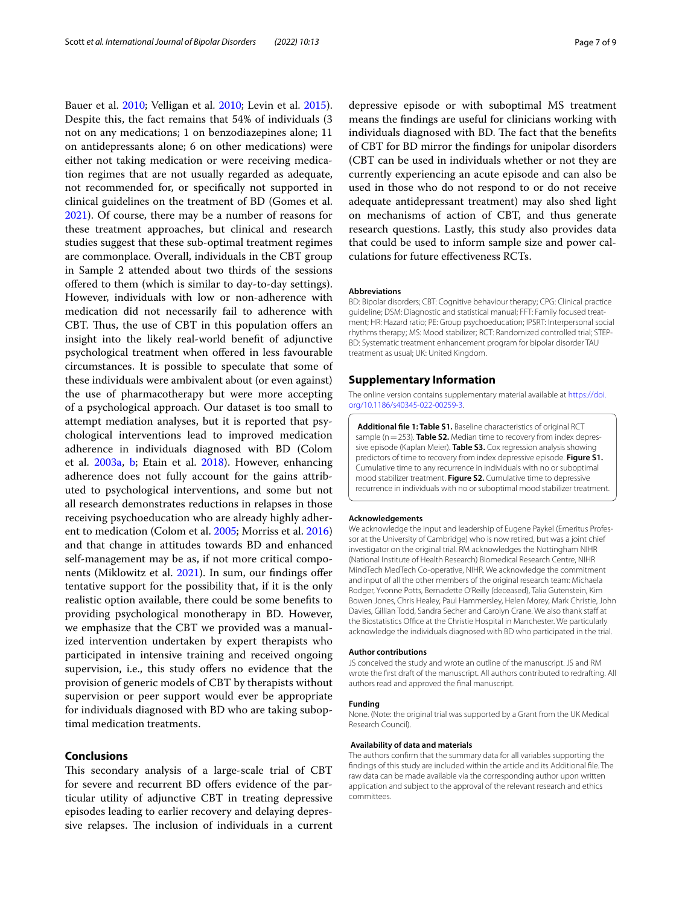Bauer et al. [2010;](#page-7-29) Velligan et al. [2010;](#page-8-2) Levin et al. [2015](#page-7-7)). Despite this, the fact remains that 54% of individuals (3 not on any medications; 1 on benzodiazepines alone; 11 on antidepressants alone; 6 on other medications) were either not taking medication or were receiving medication regimes that are not usually regarded as adequate, not recommended for, or specifcally not supported in clinical guidelines on the treatment of BD (Gomes et al. [2021](#page-7-30)). Of course, there may be a number of reasons for these treatment approaches, but clinical and research studies suggest that these sub-optimal treatment regimes are commonplace. Overall, individuals in the CBT group in Sample 2 attended about two thirds of the sessions ofered to them (which is similar to day-to-day settings). However, individuals with low or non-adherence with medication did not necessarily fail to adherence with CBT. Thus, the use of CBT in this population offers an insight into the likely real-world beneft of adjunctive psychological treatment when ofered in less favourable circumstances. It is possible to speculate that some of these individuals were ambivalent about (or even against) the use of pharmacotherapy but were more accepting of a psychological approach. Our dataset is too small to attempt mediation analyses, but it is reported that psychological interventions lead to improved medication adherence in individuals diagnosed with BD (Colom et al. [2003a,](#page-7-31) [b](#page-7-32); Etain et al. [2018\)](#page-7-11). However, enhancing adherence does not fully account for the gains attributed to psychological interventions, and some but not all research demonstrates reductions in relapses in those receiving psychoeducation who are already highly adherent to medication (Colom et al. [2005;](#page-7-33) Morriss et al. [2016](#page-7-28)) and that change in attitudes towards BD and enhanced self-management may be as, if not more critical compo-nents (Miklowitz et al. [2021](#page-7-9)). In sum, our findings offer tentative support for the possibility that, if it is the only realistic option available, there could be some benefts to providing psychological monotherapy in BD. However, we emphasize that the CBT we provided was a manualized intervention undertaken by expert therapists who participated in intensive training and received ongoing supervision, i.e., this study offers no evidence that the provision of generic models of CBT by therapists without supervision or peer support would ever be appropriate for individuals diagnosed with BD who are taking suboptimal medication treatments.

## **Conclusions**

This secondary analysis of a large-scale trial of CBT for severe and recurrent BD offers evidence of the particular utility of adjunctive CBT in treating depressive episodes leading to earlier recovery and delaying depressive relapses. The inclusion of individuals in a current

depressive episode or with suboptimal MS treatment means the fndings are useful for clinicians working with individuals diagnosed with BD. The fact that the benefits of CBT for BD mirror the fndings for unipolar disorders (CBT can be used in individuals whether or not they are currently experiencing an acute episode and can also be used in those who do not respond to or do not receive adequate antidepressant treatment) may also shed light on mechanisms of action of CBT, and thus generate research questions. Lastly, this study also provides data that could be used to inform sample size and power calculations for future efectiveness RCTs.

#### **Abbreviations**

BD: Bipolar disorders; CBT: Cognitive behaviour therapy; CPG: Clinical practice guideline; DSM: Diagnostic and statistical manual; FFT: Family focused treatment; HR: Hazard ratio; PE: Group psychoeducation; IPSRT: Interpersonal social rhythms therapy; MS: Mood stabilizer; RCT: Randomized controlled trial; STEP-BD: Systematic treatment enhancement program for bipolar disorder TAU treatment as usual; UK: United Kingdom.

#### **Supplementary Information**

The online version contains supplementary material available at [https://doi.](https://doi.org/10.1186/s40345-022-00259-3) [org/10.1186/s40345-022-00259-3](https://doi.org/10.1186/s40345-022-00259-3).

<span id="page-6-0"></span>**Additional fle 1: Table S1.** Baseline characteristics of original RCT sample (n = 253). **Table S2.** Median time to recovery from index depressive episode (Kaplan Meier). **Table S3.** Cox regression analysis showing predictors of time to recovery from index depressive episode. **Figure S1.** Cumulative time to any recurrence in individuals with no or suboptimal mood stabilizer treatment. **Figure S2.** Cumulative time to depressive recurrence in individuals with no or suboptimal mood stabilizer treatment.

#### **Acknowledgements**

We acknowledge the input and leadership of Eugene Paykel (Emeritus Professor at the University of Cambridge) who is now retired, but was a joint chief investigator on the original trial. RM acknowledges the Nottingham NIHR (National Institute of Health Research) Biomedical Research Centre, NIHR MindTech MedTech Co-operative, NIHR. We acknowledge the commitment and input of all the other members of the original research team: Michaela Rodger, Yvonne Potts, Bernadette O'Reilly (deceased), Talia Gutenstein, Kim Bowen Jones, Chris Healey, Paul Hammersley, Helen Morey, Mark Christie, John Davies, Gillian Todd, Sandra Secher and Carolyn Crane. We also thank staff at the Biostatistics Office at the Christie Hospital in Manchester. We particularly acknowledge the individuals diagnosed with BD who participated in the trial.

#### **Author contributions**

JS conceived the study and wrote an outline of the manuscript. JS and RM wrote the frst draft of the manuscript. All authors contributed to redrafting. All authors read and approved the fnal manuscript.

#### **Funding**

None. (Note: the original trial was supported by a Grant from the UK Medical Research Council).

#### **Availability of data and materials**

The authors confrm that the summary data for all variables supporting the fndings of this study are included within the article and its Additional fle. The raw data can be made available via the corresponding author upon written application and subject to the approval of the relevant research and ethics committees.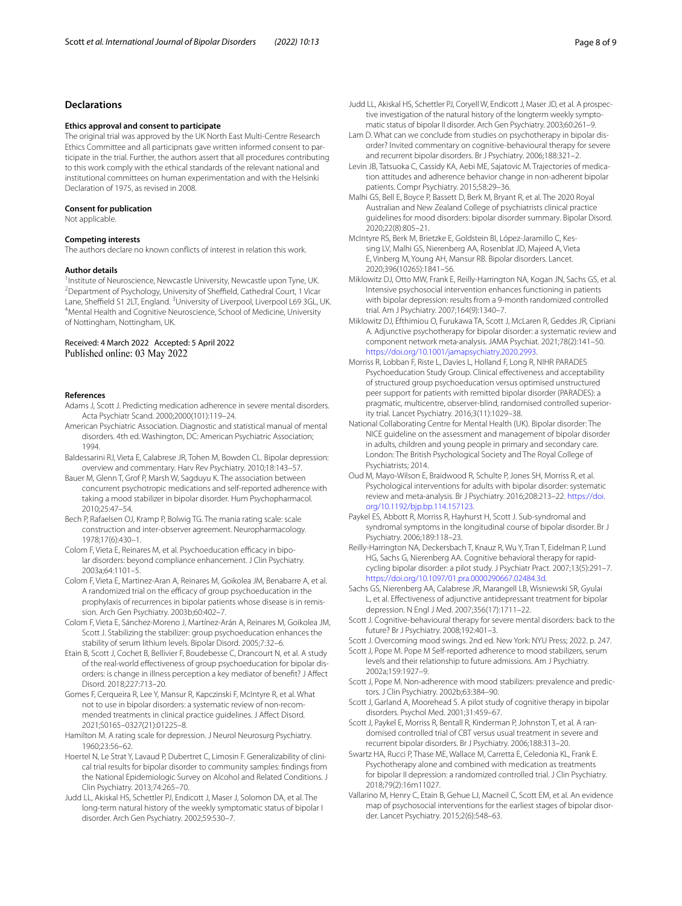## **Declarations**

#### **Ethics approval and consent to participate**

The original trial was approved by the UK North East Multi-Centre Research Ethics Committee and all participnats gave written informed consent to participate in the trial. Further, the authors assert that all procedures contributing to this work comply with the ethical standards of the relevant national and institutional committees on human experimentation and with the Helsinki Declaration of 1975, as revised in 2008.

#### **Consent for publication**

Not applicable.

#### **Competing interests**

The authors declare no known conficts of interest in relation this work.

#### **Author details**

1<br>Institute of Neuroscience, Newcastle University, Newcastle upon Tyne, UK.<br><sup>2</sup>Department of Psychology, University of Sheffield, Cathedral Court, 1 Vicar  $2$ Department of Psychology, University of Sheffield, Cathedral Court, 1 Vicar Lane, Sheffield S1 2LT, England. <sup>3</sup>University of Liverpool, Liverpool L69 3GL, UK.<br><sup>4</sup>Mental Health and Cognitive Neuroscience, School of Medicine, University. Mental Health and Cognitive Neuroscience, School of Medicine, University of Nottingham, Nottingham, UK.

#### Received: 4 March 2022 Accepted: 5 April 2022 Published online: 03 May 2022

#### **References**

- <span id="page-7-22"></span>Adams J, Scott J. Predicting medication adherence in severe mental disorders. Acta Psychiatr Scand. 2000;2000(101):119–24.
- <span id="page-7-21"></span>American Psychiatric Association. Diagnostic and statistical manual of mental disorders. 4th ed. Washington, DC: American Psychiatric Association; 1994.
- <span id="page-7-4"></span>Baldessarini RJ, Vieta E, Calabrese JR, Tohen M, Bowden CL. Bipolar depression: overview and commentary. Harv Rev Psychiatry. 2010;18:143–57.
- <span id="page-7-29"></span>Bauer M, Glenn T, Grof P, Marsh W, Sagduyu K. The association between concurrent psychotropic medications and self-reported adherence with taking a mood stabilizer in bipolar disorder. Hum Psychopharmacol. 2010;25:47–54.
- <span id="page-7-25"></span>Bech P, Rafaelsen OJ, Kramp P, Bolwig TG. The mania rating scale: scale construction and inter-observer agreement. Neuropharmacology. 1978;17(6):430–1.
- <span id="page-7-31"></span>Colom F, Vieta E, Reinares M, et al. Psychoeducation efficacy in bipolar disorders: beyond compliance enhancement. J Clin Psychiatry. 2003a;64:1101–5.
- <span id="page-7-32"></span>Colom F, Vieta E, Martinez-Aran A, Reinares M, Goikolea JM, Benabarre A, et al. A randomized trial on the efficacy of group psychoeducation in the prophylaxis of recurrences in bipolar patients whose disease is in remission. Arch Gen Psychiatry. 2003b;60:402–7.
- <span id="page-7-33"></span>Colom F, Vieta E, Sánchez-Moreno J, Martínez-Arán A, Reinares M, Goikolea JM, Scott J. Stabilizing the stabilizer: group psychoeducation enhances the stability of serum lithium levels. Bipolar Disord. 2005;7:32–6.
- <span id="page-7-11"></span>Etain B, Scott J, Cochet B, Bellivier F, Boudebesse C, Drancourt N, et al. A study of the real-world efectiveness of group psychoeducation for bipolar disorders: is change in illness perception a key mediator of beneft? J Afect Disord. 2018;227:713–20.
- <span id="page-7-30"></span>Gomes F, Cerqueira R, Lee Y, Mansur R, Kapczinski F, McIntyre R, et al. What not to use in bipolar disorders: a systematic review of non-recommended treatments in clinical practice guidelines. J Afect Disord. 2021;S0165–0327(21):01225–8.
- <span id="page-7-24"></span>Hamilton M. A rating scale for depression. J Neurol Neurosurg Psychiatry. 1960;23:56–62.
- <span id="page-7-12"></span>Hoertel N, Le Strat Y, Lavaud P, Dubertret C, Limosin F. Generalizability of clinical trial results for bipolar disorder to community samples: fndings from the National Epidemiologic Survey on Alcohol and Related Conditions. J Clin Psychiatry. 2013;74:265–70.
- <span id="page-7-1"></span>Judd LL, Akiskal HS, Schettler PJ, Endicott J, Maser J, Solomon DA, et al. The long-term natural history of the weekly symptomatic status of bipolar I disorder. Arch Gen Psychiatry. 2002;59:530–7.
- <span id="page-7-2"></span>Judd LL, Akiskal HS, Schettler PJ, Coryell W, Endicott J, Maser JD, et al. A prospective investigation of the natural history of the longterm weekly symptomatic status of bipolar II disorder. Arch Gen Psychiatry. 2003;60:261–9.
- <span id="page-7-20"></span>Lam D. What can we conclude from studies on psychotherapy in bipolar disorder? Invited commentary on cognitive-behavioural therapy for severe and recurrent bipolar disorders. Br J Psychiatry. 2006;188:321–2.
- <span id="page-7-7"></span>Levin JB, Tatsuoka C, Cassidy KA, Aebi ME, Sajatovic M. Trajectories of medication attitudes and adherence behavior change in non-adherent bipolar patients. Compr Psychiatry. 2015;58:29–36.
- <span id="page-7-0"></span>Malhi GS, Bell E, Boyce P, Bassett D, Berk M, Bryant R, et al. The 2020 Royal Australian and New Zealand College of psychiatrists clinical practice guidelines for mood disorders: bipolar disorder summary. Bipolar Disord. 2020;22(8):805–21.
- <span id="page-7-13"></span>McIntyre RS, Berk M, Brietzke E, Goldstein BI, López-Jaramillo C, Kessing LV, Malhi GS, Nierenberg AA, Rosenblat JD, Majeed A, Vieta E, Vinberg M, Young AH, Mansur RB. Bipolar disorders. Lancet. 2020;396(10265):1841–56.
- <span id="page-7-15"></span>Miklowitz DJ, Otto MW, Frank E, Reilly-Harrington NA, Kogan JN, Sachs GS, et al. Intensive psychosocial intervention enhances functioning in patients with bipolar depression: results from a 9-month randomized controlled trial. Am J Psychiatry. 2007;164(9):1340–7.
- <span id="page-7-9"></span>Miklowitz DJ, Efthimiou O, Furukawa TA, Scott J, McLaren R, Geddes JR, Cipriani A. Adjunctive psychotherapy for bipolar disorder: a systematic review and component network meta-analysis. JAMA Psychiat. 2021;78(2):141–50. <https://doi.org/10.1001/jamapsychiatry.2020.2993>.
- <span id="page-7-28"></span>Morriss R, Lobban F, Riste L, Davies L, Holland F, Long R, NIHR PARADES Psychoeducation Study Group. Clinical effectiveness and acceptability of structured group psychoeducation versus optimised unstructured peer support for patients with remitted bipolar disorder (PARADES): a pragmatic, multicentre, observer-blind, randomised controlled superiority trial. Lancet Psychiatry. 2016;3(11):1029–38.
- <span id="page-7-5"></span>National Collaborating Centre for Mental Health (UK). Bipolar disorder: The NICE guideline on the assessment and management of bipolar disorder in adults, children and young people in primary and secondary care. London: The British Psychological Society and The Royal College of Psychiatrists; 2014.
- <span id="page-7-8"></span>Oud M, Mayo-Wilson E, Braidwood R, Schulte P, Jones SH, Morriss R, et al. Psychological interventions for adults with bipolar disorder: systematic review and meta-analysis. Br J Psychiatry. 2016;208:213–22. [https://doi.](https://doi.org/10.1192/bjp.bp.114.157123) [org/10.1192/bjp.bp.114.157123](https://doi.org/10.1192/bjp.bp.114.157123).
- <span id="page-7-3"></span>Paykel ES, Abbott R, Morriss R, Hayhurst H, Scott J. Sub-syndromal and syndromal symptoms in the longitudinal course of bipolar disorder. Br J Psychiatry. 2006;189:118–23.
- <span id="page-7-16"></span>Reilly-Harrington NA, Deckersbach T, Knauz R, Wu Y, Tran T, Eidelman P, Lund HG, Sachs G, Nierenberg AA. Cognitive behavioral therapy for rapidcycling bipolar disorder: a pilot study. J Psychiatr Pract. 2007;13(5):291–7. <https://doi.org/10.1097/01.pra.0000290667.02484.3d>.

<span id="page-7-14"></span>Sachs GS, Nierenberg AA, Calabrese JR, Marangell LB, Wisniewski SR, Gyulai L, et al. Efectiveness of adjunctive antidepressant treatment for bipolar depression. N Engl J Med. 2007;356(17):1711–22.

- <span id="page-7-10"></span>Scott J. Cognitive-behavioural therapy for severe mental disorders: back to the future? Br J Psychiatry. 2008;192:401–3.
- <span id="page-7-27"></span>Scott J. Overcoming mood swings. 2nd ed. New York: NYU Press; 2022. p. 247.

<span id="page-7-6"></span>Scott J, Pope M. Pope M Self-reported adherence to mood stabilizers, serum levels and their relationship to future admissions. Am J Psychiatry. 2002a;159:1927–9.

- <span id="page-7-23"></span>Scott J, Pope M. Non-adherence with mood stabilizers: prevalence and predictors. J Clin Psychiatry. 2002b;63:384–90.
- <span id="page-7-26"></span>Scott J, Garland A, Moorehead S. A pilot study of cognitive therapy in bipolar disorders. Psychol Med. 2001;31:459–67.

<span id="page-7-19"></span>Scott J, Paykel E, Morriss R, Bentall R, Kinderman P, Johnston T, et al. A randomised controlled trial of CBT versus usual treatment in severe and recurrent bipolar disorders. Br J Psychiatry. 2006;188:313–20.

<span id="page-7-17"></span>Swartz HA, Rucci P, Thase ME, Wallace M, Carretta E, Celedonia KL, Frank E. Psychotherapy alone and combined with medication as treatments for bipolar II depression: a randomized controlled trial. J Clin Psychiatry. 2018;79(2):16m11027.

<span id="page-7-18"></span>Vallarino M, Henry C, Etain B, Gehue LJ, Macneil C, Scott EM, et al. An evidence map of psychosocial interventions for the earliest stages of bipolar disorder. Lancet Psychiatry. 2015;2(6):548–63.